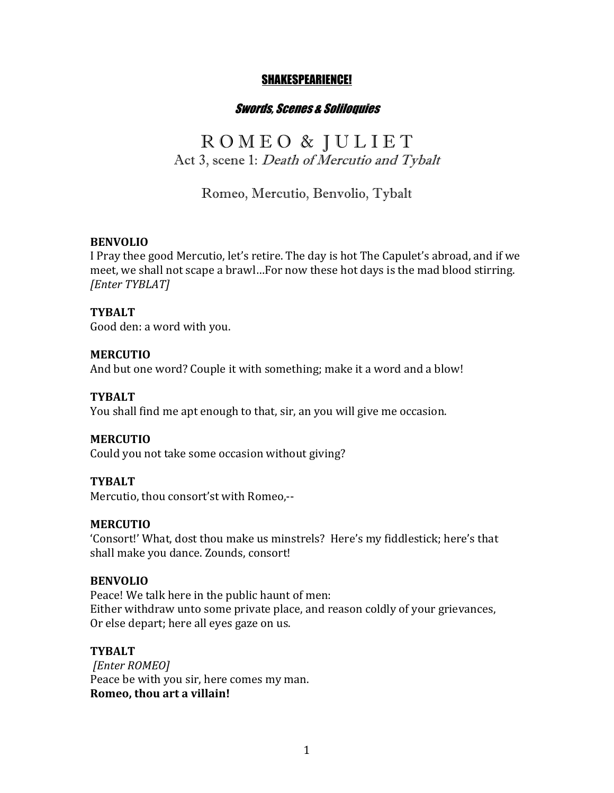#### SHAKESPEARIENCE!

# Swords, Scenes & Soliloquies

# R O M E O & J U L I E T Act 3, scene 1: Death of Mercutio and Tybalt

Romeo, Mercutio, Benvolio, Tybalt

#### **BENVOLIO**

I Pray thee good Mercutio, let's retire. The day is hot The Capulet's abroad, and if we meet, we shall not scape a brawl...For now these hot days is the mad blood stirring. *[Enter TYBLAT]*

#### **TYBALT**

Good den: a word with you.

#### **MERCUTIO**

And but one word? Couple it with something; make it a word and a blow!

### **TYBALT**

You shall find me apt enough to that, sir, an you will give me occasion.

#### **MERCUTIO**

Could you not take some occasion without giving?

#### **TYBALT**

Mercutio, thou consort'st with Romeo,--

# **MERCUTIO**

'Consort!' What, dost thou make us minstrels? Here's my fiddlestick; here's that shall make you dance. Zounds, consort!

#### **BENVOLIO**

Peace! We talk here in the public haunt of men: Either withdraw unto some private place, and reason coldly of your grievances, Or else depart; here all eyes gaze on us.

#### **TYBALT**

*[Enter ROMEO]* Peace be with you sir, here comes my man. **Romeo, thou art a villain!**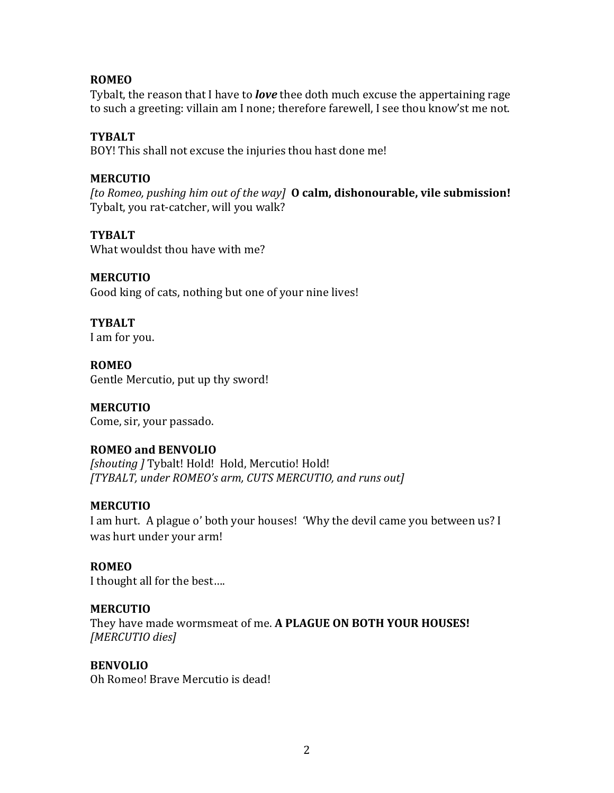# **ROMEO**

Tybalt, the reason that I have to *love* thee doth much excuse the appertaining rage to such a greeting: villain am I none; therefore farewell, I see thou know'st me not.

### **TYBALT**

BOY! This shall not excuse the injuries thou hast done me!

### **MERCUTIO**

[to Romeo, pushing him out of the way] **O calm, dishonourable, vile submission!** Tybalt, you rat-catcher, will you walk?

#### **TYBALT**

What wouldst thou have with me?

# **MERCUTIO**

Good king of cats, nothing but one of your nine lives!

**TYBALT** I am for you.

**ROMEO** Gentle Mercutio, put up thy sword!

# **MERCUTIO**

Come, sir, your passado.

# **ROMEO and BENVOLIO**

**[shouting ] Tybalt! Hold! Hold, Mercutio! Hold!** *[TYBALT, under ROMEO's arm, CUTS MERCUTIO, and runs out]*

# **MERCUTIO**

I am hurt. A plague o' both your houses! 'Why the devil came you between us? I was hurt under your arm!

# **ROMEO**

I thought all for the best....

# **MERCUTIO**

They have made wormsmeat of me. A PLAGUE ON BOTH YOUR HOUSES! *[MERCUTIO dies]*

#### **BENVOLIO**

Oh Romeo! Brave Mercutio is dead!